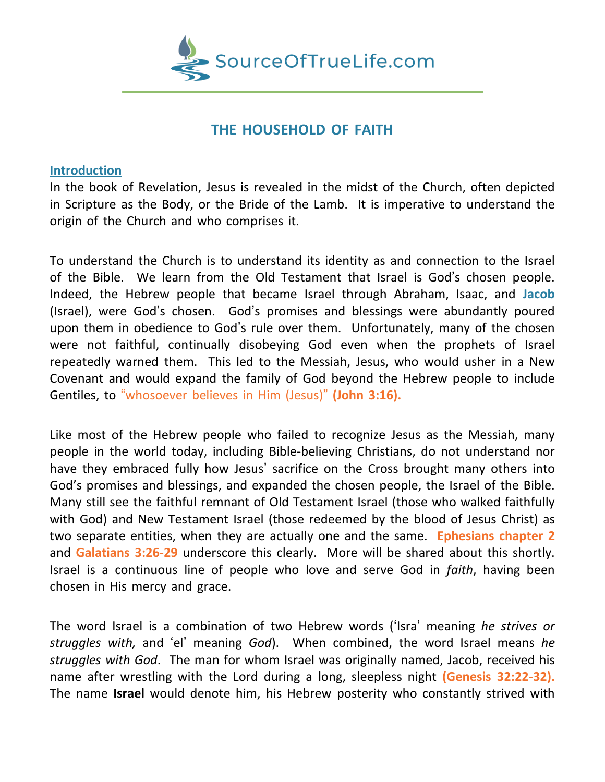

# **THE HOUSEHOLD OF FAITH**

#### **Introduction**

In the book of Revelation, Jesus is revealed in the midst of the Church, often depicted in Scripture as the Body, or the Bride of the Lamb. It is imperative to understand the origin of the Church and who comprises it.

To understand the Church is to understand its identity as and connection to the Israel of the Bible. We learn from the Old Testament that Israel is God's chosen people. Indeed, the Hebrew people that became Israel through Abraham, Isaac, and **Jacob** (Israel), were God's chosen. God's promises and blessings were abundantly poured upon them in obedience to God's rule over them. Unfortunately, many of the chosen were not faithful, continually disobeying God even when the prophets of Israel repeatedly warned them. This led to the Messiah, Jesus, who would usher in a New Covenant and would expand the family of God beyond the Hebrew people to include Gentiles, to "whosoever believes in Him (Jesus)" **(John 3:16).**

Like most of the Hebrew people who failed to recognize Jesus as the Messiah, many people in the world today, including Bible-believing Christians, do not understand nor have they embraced fully how Jesus' sacrifice on the Cross brought many others into God's promises and blessings, and expanded the chosen people, the Israel of the Bible. Many still see the faithful remnant of Old Testament Israel (those who walked faithfully with God) and New Testament Israel (those redeemed by the blood of Jesus Christ) as two separate entities, when they are actually one and the same. **Ephesians chapter 2** and **Galatians 3:26-29** underscore this clearly. More will be shared about this shortly. Israel is a continuous line of people who love and serve God in *faith*, having been chosen in His mercy and grace.

The word Israel is a combination of two Hebrew words ('Isra' meaning *he strives or struggles with,* and 'el' meaning *God*). When combined, the word Israel means *he struggles with God*. The man for whom Israel was originally named, Jacob, received his name after wrestling with the Lord during a long, sleepless night **(Genesis 32:22-32).** The name **Israel** would denote him, his Hebrew posterity who constantly strived with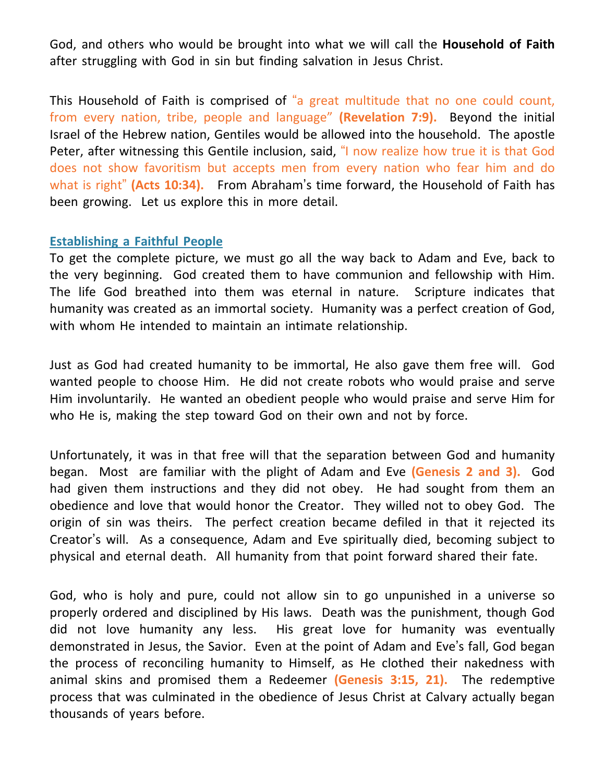God, and others who would be brought into what we will call the **Household of Faith** after struggling with God in sin but finding salvation in Jesus Christ.

This Household of Faith is comprised of "a great multitude that no one could count, from every nation, tribe, people and language" **(Revelation 7:9).** Beyond the initial Israel of the Hebrew nation, Gentiles would be allowed into the household. The apostle Peter, after witnessing this Gentile inclusion, said, "I now realize how true it is that God does not show favoritism but accepts men from every nation who fear him and do what is right" **(Acts 10:34).** From Abraham's time forward, the Household of Faith has been growing. Let us explore this in more detail.

#### **Establishing a Faithful People**

To get the complete picture, we must go all the way back to Adam and Eve, back to the very beginning. God created them to have communion and fellowship with Him. The life God breathed into them was eternal in nature. Scripture indicates that humanity was created as an immortal society. Humanity was a perfect creation of God, with whom He intended to maintain an intimate relationship.

Just as God had created humanity to be immortal, He also gave them free will. God wanted people to choose Him. He did not create robots who would praise and serve Him involuntarily. He wanted an obedient people who would praise and serve Him for who He is, making the step toward God on their own and not by force.

Unfortunately, it was in that free will that the separation between God and humanity began. Most are familiar with the plight of Adam and Eve **(Genesis 2 and 3).** God had given them instructions and they did not obey. He had sought from them an obedience and love that would honor the Creator. They willed not to obey God. The origin of sin was theirs. The perfect creation became defiled in that it rejected its Creator's will. As a consequence, Adam and Eve spiritually died, becoming subject to physical and eternal death. All humanity from that point forward shared their fate.

God, who is holy and pure, could not allow sin to go unpunished in a universe so properly ordered and disciplined by His laws. Death was the punishment, though God did not love humanity any less. His great love for humanity was eventually demonstrated in Jesus, the Savior. Even at the point of Adam and Eve's fall, God began the process of reconciling humanity to Himself, as He clothed their nakedness with animal skins and promised them a Redeemer **(Genesis 3:15, 21).** The redemptive process that was culminated in the obedience of Jesus Christ at Calvary actually began thousands of years before.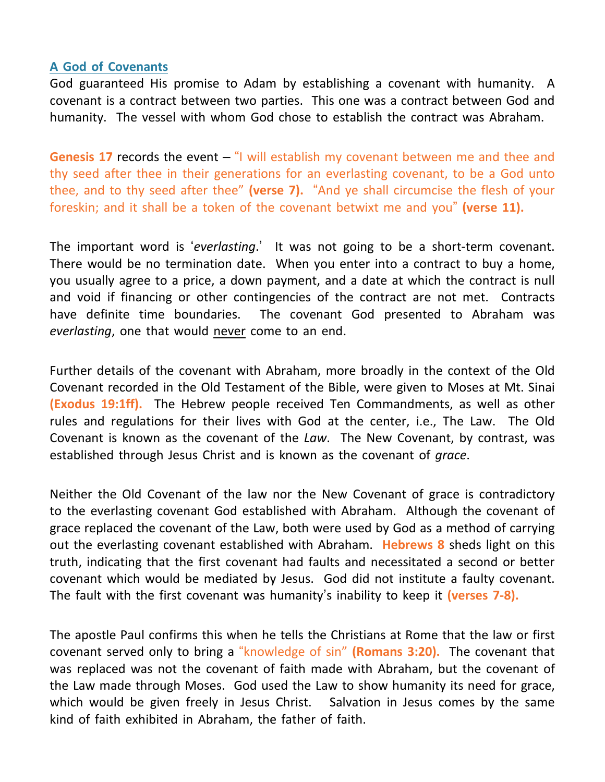### **A God of Covenants**

God guaranteed His promise to Adam by establishing a covenant with humanity. A covenant is a contract between two parties. This one was a contract between God and humanity. The vessel with whom God chose to establish the contract was Abraham.

**Genesis 17** records the event – "I will establish my covenant between me and thee and thy seed after thee in their generations for an everlasting covenant, to be a God unto thee, and to thy seed after thee" **(verse 7).** "And ye shall circumcise the flesh of your foreskin; and it shall be a token of the covenant betwixt me and you" **(verse 11).**

The important word is '*everlasting*.' It was not going to be a short-term covenant. There would be no termination date. When you enter into a contract to buy a home, you usually agree to a price, a down payment, and a date at which the contract is null and void if financing or other contingencies of the contract are not met. Contracts have definite time boundaries. The covenant God presented to Abraham was *everlasting*, one that would never come to an end.

Further details of the covenant with Abraham, more broadly in the context of the Old Covenant recorded in the Old Testament of the Bible, were given to Moses at Mt. Sinai **(Exodus 19:1ff).** The Hebrew people received Ten Commandments, as well as other rules and regulations for their lives with God at the center, i.e., The Law. The Old Covenant is known as the covenant of the *Law*. The New Covenant, by contrast, was established through Jesus Christ and is known as the covenant of *grace*.

Neither the Old Covenant of the law nor the New Covenant of grace is contradictory to the everlasting covenant God established with Abraham. Although the covenant of grace replaced the covenant of the Law, both were used by God as a method of carrying out the everlasting covenant established with Abraham. **Hebrews 8** sheds light on this truth, indicating that the first covenant had faults and necessitated a second or better covenant which would be mediated by Jesus. God did not institute a faulty covenant. The fault with the first covenant was humanity's inability to keep it **(verses 7-8).**

The apostle Paul confirms this when he tells the Christians at Rome that the law or first covenant served only to bring a "knowledge of sin" **(Romans 3:20).** The covenant that was replaced was not the covenant of faith made with Abraham, but the covenant of the Law made through Moses. God used the Law to show humanity its need for grace, which would be given freely in Jesus Christ. Salvation in Jesus comes by the same kind of faith exhibited in Abraham, the father of faith.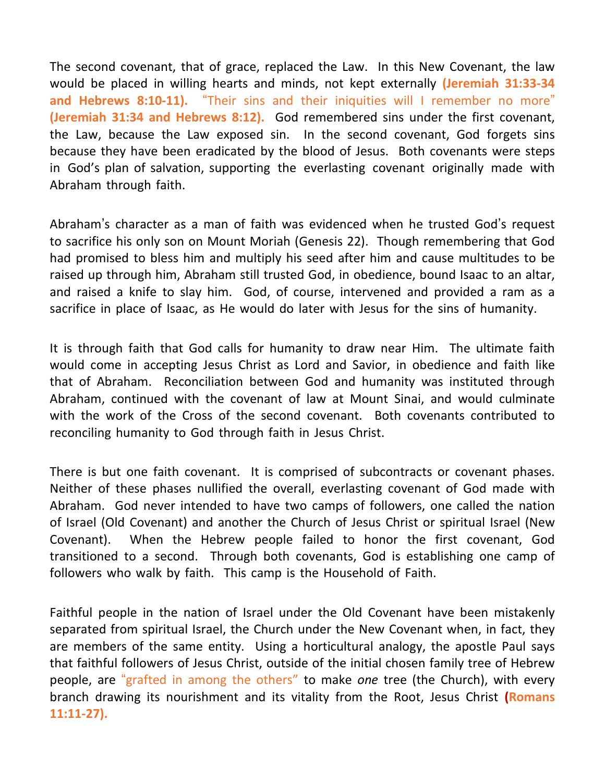The second covenant, that of grace, replaced the Law. In this New Covenant, the law would be placed in willing hearts and minds, not kept externally **(Jeremiah 31:33-34 and Hebrews 8:10-11).** "Their sins and their iniquities will I remember no more" **(Jeremiah 31:34 and Hebrews 8:12).** God remembered sins under the first covenant, the Law, because the Law exposed sin. In the second covenant, God forgets sins because they have been eradicated by the blood of Jesus. Both covenants were steps in God's plan of salvation, supporting the everlasting covenant originally made with Abraham through faith.

Abraham's character as a man of faith was evidenced when he trusted God's request to sacrifice his only son on Mount Moriah (Genesis 22). Though remembering that God had promised to bless him and multiply his seed after him and cause multitudes to be raised up through him, Abraham still trusted God, in obedience, bound Isaac to an altar, and raised a knife to slay him. God, of course, intervened and provided a ram as a sacrifice in place of Isaac, as He would do later with Jesus for the sins of humanity.

It is through faith that God calls for humanity to draw near Him. The ultimate faith would come in accepting Jesus Christ as Lord and Savior, in obedience and faith like that of Abraham. Reconciliation between God and humanity was instituted through Abraham, continued with the covenant of law at Mount Sinai, and would culminate with the work of the Cross of the second covenant. Both covenants contributed to reconciling humanity to God through faith in Jesus Christ.

There is but one faith covenant. It is comprised of subcontracts or covenant phases. Neither of these phases nullified the overall, everlasting covenant of God made with Abraham. God never intended to have two camps of followers, one called the nation of Israel (Old Covenant) and another the Church of Jesus Christ or spiritual Israel (New Covenant). When the Hebrew people failed to honor the first covenant, God transitioned to a second. Through both covenants, God is establishing one camp of followers who walk by faith. This camp is the Household of Faith.

Faithful people in the nation of Israel under the Old Covenant have been mistakenly separated from spiritual Israel, the Church under the New Covenant when, in fact, they are members of the same entity. Using a horticultural analogy, the apostle Paul says that faithful followers of Jesus Christ, outside of the initial chosen family tree of Hebrew people, are "grafted in among the others" to make *one* tree (the Church), with every branch drawing its nourishment and its vitality from the Root, Jesus Christ **(Romans 11:11-27).**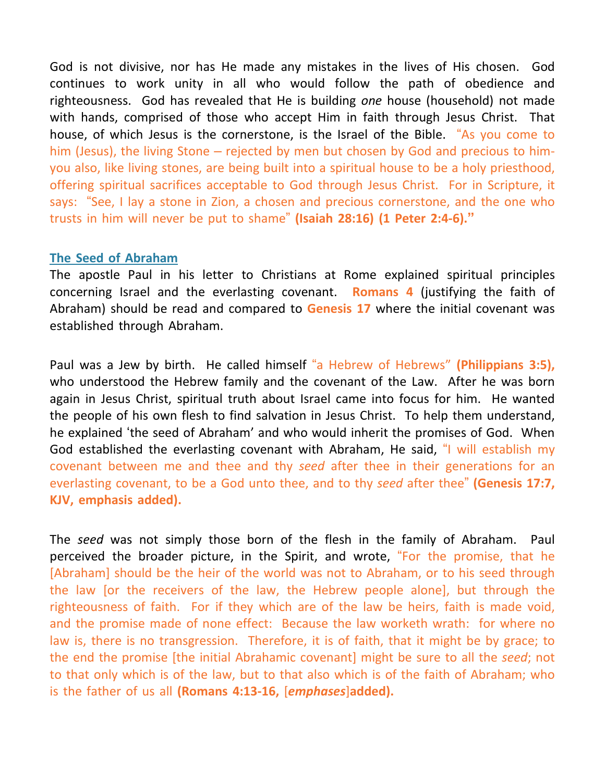God is not divisive, nor has He made any mistakes in the lives of His chosen. God continues to work unity in all who would follow the path of obedience and righteousness. God has revealed that He is building *one* house (household) not made with hands, comprised of those who accept Him in faith through Jesus Christ. That house, of which Jesus is the cornerstone, is the Israel of the Bible. "As you come to him (Jesus), the living Stone – rejected by men but chosen by God and precious to himyou also, like living stones, are being built into a spiritual house to be a holy priesthood, offering spiritual sacrifices acceptable to God through Jesus Christ. For in Scripture, it says: "See, I lay a stone in Zion, a chosen and precious cornerstone, and the one who trusts in him will never be put to shame" **(Isaiah 28:16) (1 Peter 2:4-6)."**

### **The Seed of Abraham**

The apostle Paul in his letter to Christians at Rome explained spiritual principles concerning Israel and the everlasting covenant. **Romans 4** (justifying the faith of Abraham) should be read and compared to **Genesis 17** where the initial covenant was established through Abraham.

Paul was a Jew by birth. He called himself "a Hebrew of Hebrews" **(Philippians 3:5),** who understood the Hebrew family and the covenant of the Law. After he was born again in Jesus Christ, spiritual truth about Israel came into focus for him. He wanted the people of his own flesh to find salvation in Jesus Christ. To help them understand, he explained 'the seed of Abraham' and who would inherit the promises of God. When God established the everlasting covenant with Abraham, He said, "I will establish my covenant between me and thee and thy *seed* after thee in their generations for an everlasting covenant, to be a God unto thee, and to thy *seed* after thee" **(Genesis 17:7, KJV, emphasis added).**

The *seed* was not simply those born of the flesh in the family of Abraham. Paul perceived the broader picture, in the Spirit, and wrote, "For the promise, that he [Abraham] should be the heir of the world was not to Abraham, or to his seed through the law [or the receivers of the law, the Hebrew people alone], but through the righteousness of faith. For if they which are of the law be heirs, faith is made void, and the promise made of none effect: Because the law worketh wrath: for where no law is, there is no transgression. Therefore, it is of faith, that it might be by grace; to the end the promise [the initial Abrahamic covenant] might be sure to all the *seed*; not to that only which is of the law, but to that also which is of the faith of Abraham; who is the father of us all **(Romans 4:13-16,** [*emphases*]**added).**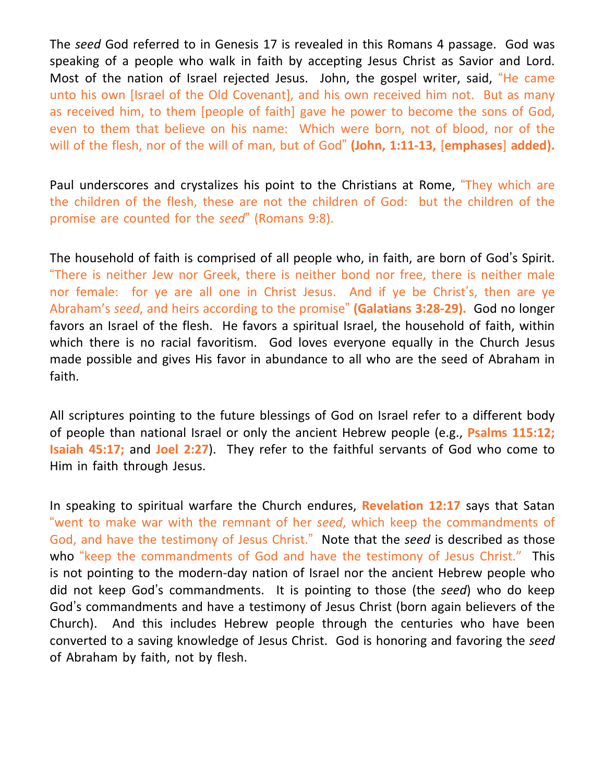The *seed* God referred to in Genesis 17 is revealed in this Romans 4 passage. God was speaking of a people who walk in faith by accepting Jesus Christ as Savior and Lord. Most of the nation of Israel rejected Jesus. John, the gospel writer, said, "He came unto his own [Israel of the Old Covenant], and his own received him not. But as many as received him, to them [people of faith] gave he power to become the sons of God, even to them that believe on his name: Which were born, not of blood, nor of the will of the flesh, nor of the will of man, but of God" **(John, 1:11-13,** [**emphases**] **added).**

Paul underscores and crystalizes his point to the Christians at Rome, "They which are the children of the flesh, these are not the children of God: but the children of the promise are counted for the *seed*" (Romans 9:8).

The household of faith is comprised of all people who, in faith, are born of God's Spirit. "There is neither Jew nor Greek, there is neither bond nor free, there is neither male nor female: for ye are all one in Christ Jesus. And if ye be Christ's, then are ye Abraham's *seed*, and heirs according to the promise" **(Galatians 3:28-29).** God no longer favors an Israel of the flesh. He favors a spiritual Israel, the household of faith, within which there is no racial favoritism. God loves everyone equally in the Church Jesus made possible and gives His favor in abundance to all who are the seed of Abraham in faith.

All scriptures pointing to the future blessings of God on Israel refer to a different body of people than national Israel or only the ancient Hebrew people (e.g., **Psalms 115:12; Isaiah 45:17;** and **Joel 2:27**). They refer to the faithful servants of God who come to Him in faith through Jesus.

In speaking to spiritual warfare the Church endures, **Revelation 12:17** says that Satan "went to make war with the remnant of her *seed*, which keep the commandments of God, and have the testimony of Jesus Christ." Note that the *seed* is described as those who "keep the commandments of God and have the testimony of Jesus Christ." This is not pointing to the modern-day nation of Israel nor the ancient Hebrew people who did not keep God's commandments. It is pointing to those (the *seed*) who do keep God's commandments and have a testimony of Jesus Christ (born again believers of the Church). And this includes Hebrew people through the centuries who have been converted to a saving knowledge of Jesus Christ. God is honoring and favoring the *seed* of Abraham by faith, not by flesh.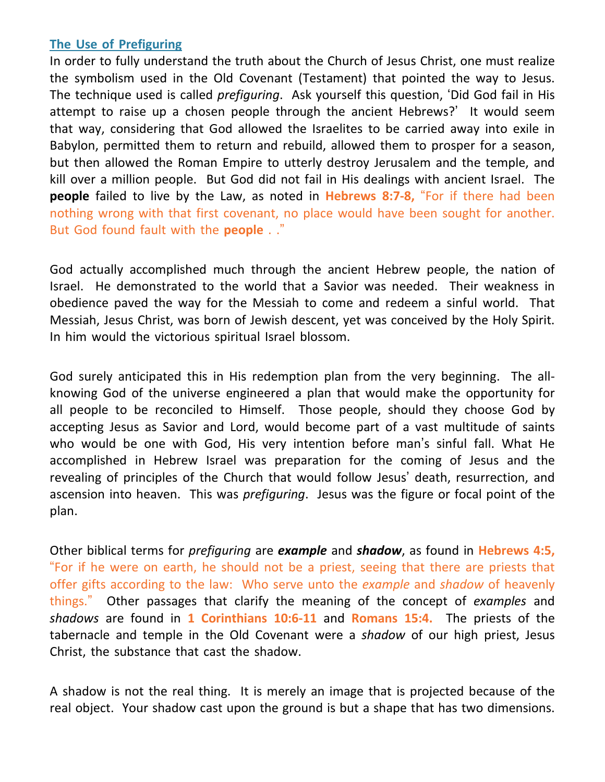## **The Use of Prefiguring**

In order to fully understand the truth about the Church of Jesus Christ, one must realize the symbolism used in the Old Covenant (Testament) that pointed the way to Jesus. The technique used is called *prefiguring*. Ask yourself this question, 'Did God fail in His attempt to raise up a chosen people through the ancient Hebrews?' It would seem that way, considering that God allowed the Israelites to be carried away into exile in Babylon, permitted them to return and rebuild, allowed them to prosper for a season, but then allowed the Roman Empire to utterly destroy Jerusalem and the temple, and kill over a million people. But God did not fail in His dealings with ancient Israel. The **people** failed to live by the Law, as noted in **Hebrews 8:7-8,** "For if there had been nothing wrong with that first covenant, no place would have been sought for another. But God found fault with the **people** . ."

God actually accomplished much through the ancient Hebrew people, the nation of Israel. He demonstrated to the world that a Savior was needed. Their weakness in obedience paved the way for the Messiah to come and redeem a sinful world. That Messiah, Jesus Christ, was born of Jewish descent, yet was conceived by the Holy Spirit. In him would the victorious spiritual Israel blossom.

God surely anticipated this in His redemption plan from the very beginning. The allknowing God of the universe engineered a plan that would make the opportunity for all people to be reconciled to Himself. Those people, should they choose God by accepting Jesus as Savior and Lord, would become part of a vast multitude of saints who would be one with God, His very intention before man's sinful fall. What He accomplished in Hebrew Israel was preparation for the coming of Jesus and the revealing of principles of the Church that would follow Jesus' death, resurrection, and ascension into heaven. This was *prefiguring*. Jesus was the figure or focal point of the plan.

Other biblical terms for *prefiguring* are *example* and *shadow*, as found in **Hebrews 4:5,** "For if he were on earth, he should not be a priest, seeing that there are priests that offer gifts according to the law: Who serve unto the *example* and *shadow* of heavenly things." Other passages that clarify the meaning of the concept of *examples* and *shadows* are found in **1 Corinthians 10:6-11** and **Romans 15:4.** The priests of the tabernacle and temple in the Old Covenant were a *shadow* of our high priest, Jesus Christ, the substance that cast the shadow.

A shadow is not the real thing. It is merely an image that is projected because of the real object. Your shadow cast upon the ground is but a shape that has two dimensions.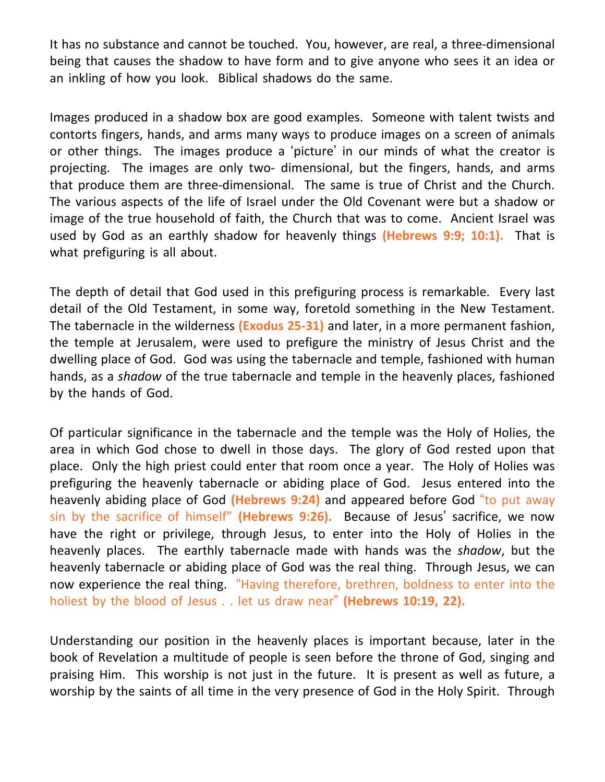It has no substance and cannot be touched. You, however, are real, a three-dimensional being that causes the shadow to have form and to give anyone who sees it an idea or an inkling of how you look. Biblical shadows do the same.

Images produced in a shadow box are good examples. Someone with talent twists and contorts fingers, hands, and arms many ways to produce images on a screen of animals or other things. The images produce a 'picture' in our minds of what the creator is projecting. The images are only two- dimensional, but the fingers, hands, and arms that produce them are three-dimensional. The same is true of Christ and the Church. The various aspects of the life of Israel under the Old Covenant were but a shadow or image of the true household of faith, the Church that was to come. Ancient Israel was used by God as an earthly shadow for heavenly things **(Hebrews 9:9; 10:1).** That is what prefiguring is all about.

The depth of detail that God used in this prefiguring process is remarkable. Every last detail of the Old Testament, in some way, foretold something in the New Testament. The tabernacle in the wilderness **(Exodus 25-31)** and later, in a more permanent fashion, the temple at Jerusalem, were used to prefigure the ministry of Jesus Christ and the dwelling place of God. God was using the tabernacle and temple, fashioned with human hands, as a *shadow* of the true tabernacle and temple in the heavenly places, fashioned by the hands of God.

Of particular significance in the tabernacle and the temple was the Holy of Holies, the area in which God chose to dwell in those days. The glory of God rested upon that place. Only the high priest could enter that room once a year. The Holy of Holies was prefiguring the heavenly tabernacle or abiding place of God. Jesus entered into the heavenly abiding place of God **(Hebrews 9:24)** and appeared before God "to put away sin by the sacrifice of himself" **(Hebrews 9:26).** Because of Jesus' sacrifice, we now have the right or privilege, through Jesus, to enter into the Holy of Holies in the heavenly places. The earthly tabernacle made with hands was the *shadow*, but the heavenly tabernacle or abiding place of God was the real thing. Through Jesus, we can now experience the real thing. "Having therefore, brethren, boldness to enter into the holiest by the blood of Jesus . . let us draw near" **(Hebrews 10:19, 22).**

Understanding our position in the heavenly places is important because, later in the book of Revelation a multitude of people is seen before the throne of God, singing and praising Him. This worship is not just in the future. It is present as well as future, a worship by the saints of all time in the very presence of God in the Holy Spirit. Through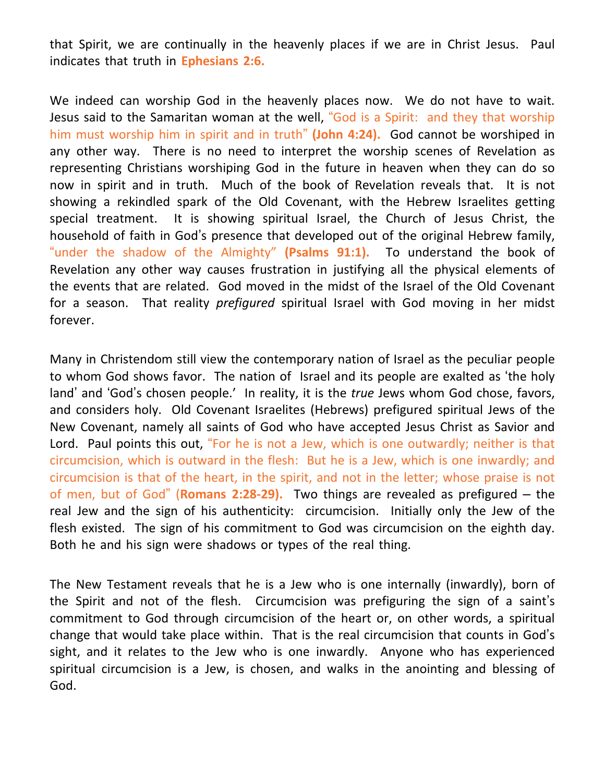that Spirit, we are continually in the heavenly places if we are in Christ Jesus. Paul indicates that truth in **Ephesians 2:6.**

We indeed can worship God in the heavenly places now. We do not have to wait. Jesus said to the Samaritan woman at the well, "God is a Spirit: and they that worship him must worship him in spirit and in truth" **(John 4:24).** God cannot be worshiped in any other way. There is no need to interpret the worship scenes of Revelation as representing Christians worshiping God in the future in heaven when they can do so now in spirit and in truth. Much of the book of Revelation reveals that. It is not showing a rekindled spark of the Old Covenant, with the Hebrew Israelites getting special treatment. It is showing spiritual Israel, the Church of Jesus Christ, the household of faith in God's presence that developed out of the original Hebrew family, "under the shadow of the Almighty" **(Psalms 91:1).** To understand the book of Revelation any other way causes frustration in justifying all the physical elements of the events that are related. God moved in the midst of the Israel of the Old Covenant for a season. That reality *prefigured* spiritual Israel with God moving in her midst forever.

Many in Christendom still view the contemporary nation of Israel as the peculiar people to whom God shows favor. The nation of Israel and its people are exalted as 'the holy land' and 'God's chosen people.' In reality, it is the *true* Jews whom God chose, favors, and considers holy. Old Covenant Israelites (Hebrews) prefigured spiritual Jews of the New Covenant, namely all saints of God who have accepted Jesus Christ as Savior and Lord. Paul points this out, "For he is not a Jew, which is one outwardly; neither is that circumcision, which is outward in the flesh: But he is a Jew, which is one inwardly; and circumcision is that of the heart, in the spirit, and not in the letter; whose praise is not of men, but of God" (**Romans 2:28-29).** Two things are revealed as prefigured – the real Jew and the sign of his authenticity: circumcision. Initially only the Jew of the flesh existed. The sign of his commitment to God was circumcision on the eighth day. Both he and his sign were shadows or types of the real thing.

The New Testament reveals that he is a Jew who is one internally (inwardly), born of the Spirit and not of the flesh. Circumcision was prefiguring the sign of a saint's commitment to God through circumcision of the heart or, on other words, a spiritual change that would take place within. That is the real circumcision that counts in God's sight, and it relates to the Jew who is one inwardly. Anyone who has experienced spiritual circumcision is a Jew, is chosen, and walks in the anointing and blessing of God.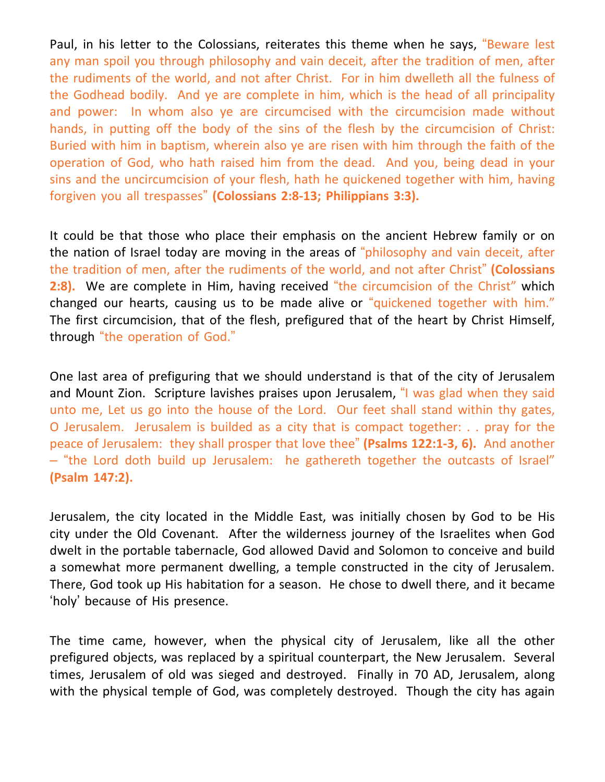Paul, in his letter to the Colossians, reiterates this theme when he says, "Beware lest any man spoil you through philosophy and vain deceit, after the tradition of men, after the rudiments of the world, and not after Christ. For in him dwelleth all the fulness of the Godhead bodily. And ye are complete in him, which is the head of all principality and power: In whom also ye are circumcised with the circumcision made without hands, in putting off the body of the sins of the flesh by the circumcision of Christ: Buried with him in baptism, wherein also ye are risen with him through the faith of the operation of God, who hath raised him from the dead. And you, being dead in your sins and the uncircumcision of your flesh, hath he quickened together with him, having forgiven you all trespasses" **(Colossians 2:8-13; Philippians 3:3).**

It could be that those who place their emphasis on the ancient Hebrew family or on the nation of Israel today are moving in the areas of "philosophy and vain deceit, after the tradition of men, after the rudiments of the world, and not after Christ" **(Colossians 2:8).** We are complete in Him, having received "the circumcision of the Christ" which changed our hearts, causing us to be made alive or "quickened together with him." The first circumcision, that of the flesh, prefigured that of the heart by Christ Himself, through "the operation of God."

One last area of prefiguring that we should understand is that of the city of Jerusalem and Mount Zion. Scripture lavishes praises upon Jerusalem, "I was glad when they said unto me, Let us go into the house of the Lord. Our feet shall stand within thy gates, O Jerusalem. Jerusalem is builded as a city that is compact together: . . pray for the peace of Jerusalem: they shall prosper that love thee" **(Psalms 122:1-3, 6).** And another – "the Lord doth build up Jerusalem: he gathereth together the outcasts of Israel" **(Psalm 147:2).**

Jerusalem, the city located in the Middle East, was initially chosen by God to be His city under the Old Covenant. After the wilderness journey of the Israelites when God dwelt in the portable tabernacle, God allowed David and Solomon to conceive and build a somewhat more permanent dwelling, a temple constructed in the city of Jerusalem. There, God took up His habitation for a season. He chose to dwell there, and it became 'holy' because of His presence.

The time came, however, when the physical city of Jerusalem, like all the other prefigured objects, was replaced by a spiritual counterpart, the New Jerusalem. Several times, Jerusalem of old was sieged and destroyed. Finally in 70 AD, Jerusalem, along with the physical temple of God, was completely destroyed. Though the city has again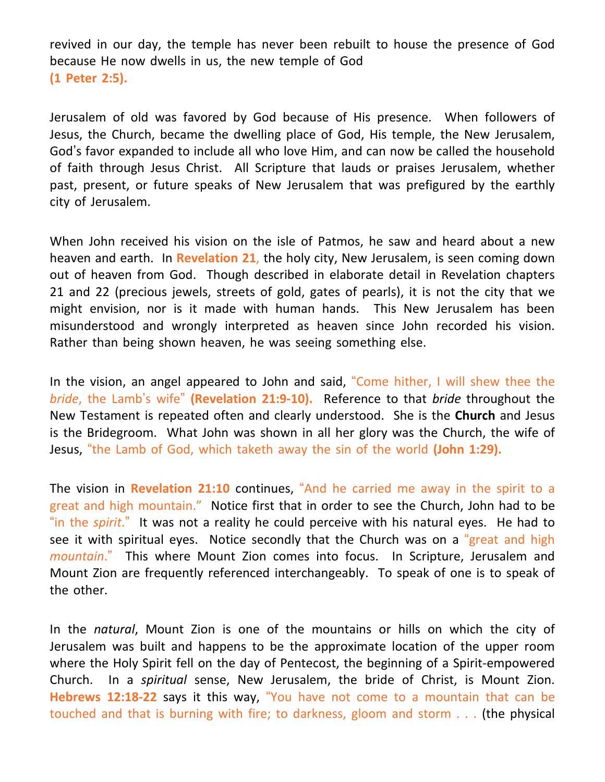revived in our day, the temple has never been rebuilt to house the presence of God because He now dwells in us, the new temple of God **(1 Peter 2:5).**

Jerusalem of old was favored by God because of His presence. When followers of Jesus, the Church, became the dwelling place of God, His temple, the New Jerusalem, God's favor expanded to include all who love Him, and can now be called the household of faith through Jesus Christ. All Scripture that lauds or praises Jerusalem, whether past, present, or future speaks of New Jerusalem that was prefigured by the earthly city of Jerusalem.

When John received his vision on the isle of Patmos, he saw and heard about a new heaven and earth. In **Revelation 21**, the holy city, New Jerusalem, is seen coming down out of heaven from God. Though described in elaborate detail in Revelation chapters 21 and 22 (precious jewels, streets of gold, gates of pearls), it is not the city that we might envision, nor is it made with human hands. This New Jerusalem has been misunderstood and wrongly interpreted as heaven since John recorded his vision. Rather than being shown heaven, he was seeing something else.

In the vision, an angel appeared to John and said, "Come hither, I will shew thee the *bride*, the Lamb's wife" **(Revelation 21:9-10).** Reference to that *bride* throughout the New Testament is repeated often and clearly understood. She is the **Church** and Jesus is the Bridegroom. What John was shown in all her glory was the Church, the wife of Jesus, "the Lamb of God, which taketh away the sin of the world **(John 1:29).**

The vision in **Revelation 21:10** continues, "And he carried me away in the spirit to a great and high mountain." Notice first that in order to see the Church, John had to be "in the *spirit*." It was not a reality he could perceive with his natural eyes. He had to see it with spiritual eyes. Notice secondly that the Church was on a "great and high *mountain*." This where Mount Zion comes into focus. In Scripture, Jerusalem and Mount Zion are frequently referenced interchangeably. To speak of one is to speak of the other.

In the *natural*, Mount Zion is one of the mountains or hills on which the city of Jerusalem was built and happens to be the approximate location of the upper room where the Holy Spirit fell on the day of Pentecost, the beginning of a Spirit-empowered Church. In a *spiritual* sense, New Jerusalem, the bride of Christ, is Mount Zion. **Hebrews 12:18-22** says it this way, "You have not come to a mountain that can be touched and that is burning with fire; to darkness, gloom and storm . . . (the physical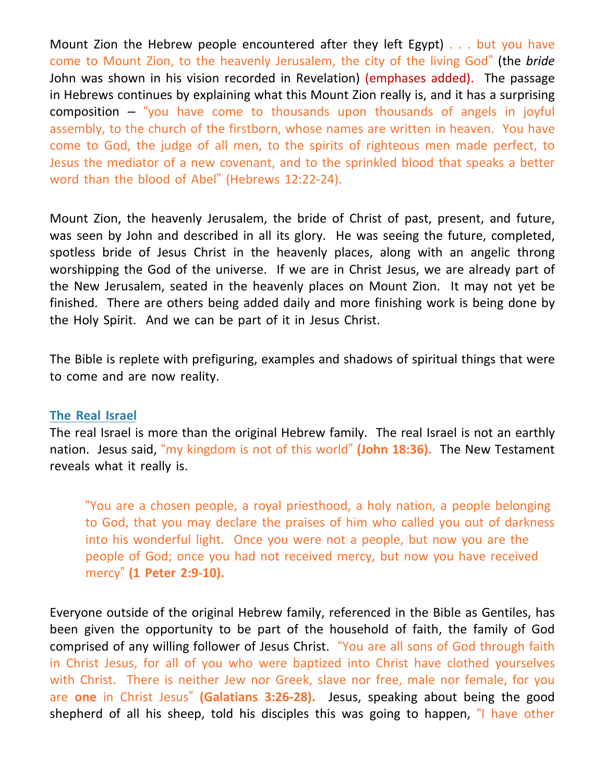Mount Zion the Hebrew people encountered after they left Egypt) . . . but you have come to Mount Zion, to the heavenly Jerusalem, the city of the living God" (the *bride* John was shown in his vision recorded in Revelation) (emphases added). The passage in Hebrews continues by explaining what this Mount Zion really is, and it has a surprising composition – "you have come to thousands upon thousands of angels in joyful assembly, to the church of the firstborn, whose names are written in heaven. You have come to God, the judge of all men, to the spirits of righteous men made perfect, to Jesus the mediator of a new covenant, and to the sprinkled blood that speaks a better word than the blood of Abel" (Hebrews 12:22-24).

Mount Zion, the heavenly Jerusalem, the bride of Christ of past, present, and future, was seen by John and described in all its glory. He was seeing the future, completed, spotless bride of Jesus Christ in the heavenly places, along with an angelic throng worshipping the God of the universe. If we are in Christ Jesus, we are already part of the New Jerusalem, seated in the heavenly places on Mount Zion. It may not yet be finished. There are others being added daily and more finishing work is being done by the Holy Spirit. And we can be part of it in Jesus Christ.

The Bible is replete with prefiguring, examples and shadows of spiritual things that were to come and are now reality.

#### **The Real Israel**

The real Israel is more than the original Hebrew family. The real Israel is not an earthly nation. Jesus said, "my kingdom is not of this world" **(John 18:36).** The New Testament reveals what it really is.

"You are a chosen people, a royal priesthood, a holy nation, a people belonging to God, that you may declare the praises of him who called you out of darkness into his wonderful light. Once you were not a people, but now you are the people of God; once you had not received mercy, but now you have received mercy" **(1 Peter 2:9-10).**

Everyone outside of the original Hebrew family, referenced in the Bible as Gentiles, has been given the opportunity to be part of the household of faith, the family of God comprised of any willing follower of Jesus Christ. "You are all sons of God through faith in Christ Jesus, for all of you who were baptized into Christ have clothed yourselves with Christ. There is neither Jew nor Greek, slave nor free, male nor female, for you are **one** in Christ Jesus" **(Galatians 3:26-28).** Jesus, speaking about being the good shepherd of all his sheep, told his disciples this was going to happen, "I have other